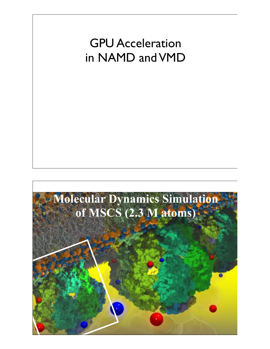## GPU Acceleration in NAMD and VMD